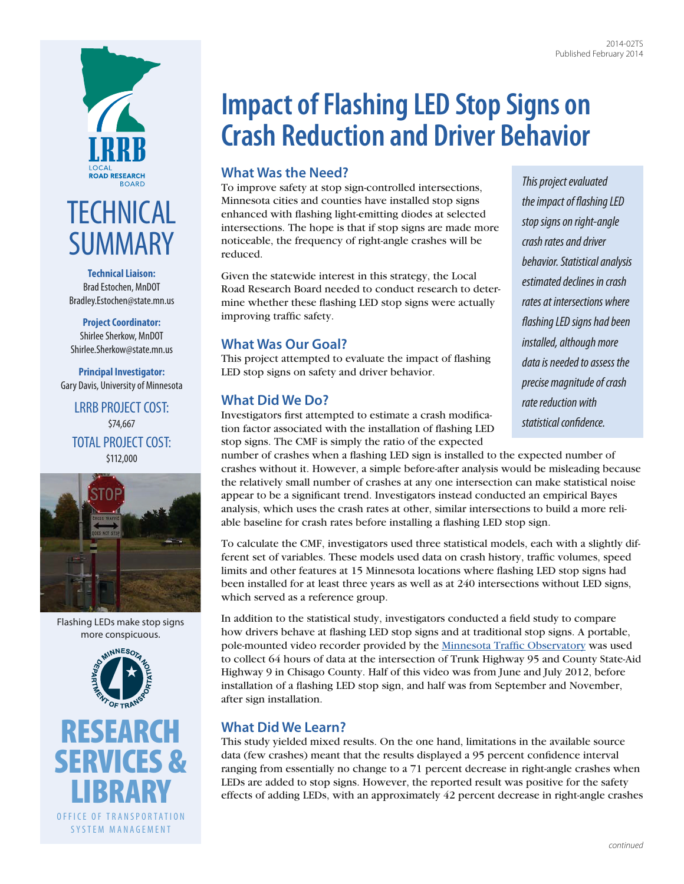

# **TECHNICAL** SUMMARY

**Technical Liaison:** Brad Estochen, MnDOT [Bradley.Estochen@state.mn.us](mailto:Bradley.Estochen@state.mn.us)

**Project Coordinator:** Shirlee Sherkow, MnDOT [Shirlee.Sherkow@state.mn.us](mailto:Shirlee.Sherkow@state.mn.us)

**Principal Investigator:** Gary Davis, University of Minnesota

LRRB PROJECT COST: \$74,667 TOTAL PROJECT COST: \$112,000



Flashing LEDs make stop signs more conspicuous.



[RESEARCH](http://www.research.dot.state.mn.us) [SERVICES &](http://www.research.dot.state.mn.us)  **[LIBRARY](http://www.research.dot.state.mn.us)** OFFICE OF TRANSPORTATION SYSTEM MANAGEMENT

# **Impact of Flashing LED Stop Signs on Crash Reduction and Driver Behavior**

# **What Was the Need?**

To improve safety at stop sign-controlled intersections, Minnesota cities and counties have installed stop signs enhanced with flashing light-emitting diodes at selected intersections. The hope is that if stop signs are made more noticeable, the frequency of right-angle crashes will be reduced.

Given the statewide interest in this strategy, the Local Road Research Board needed to conduct research to determine whether these flashing LED stop signs were actually improving traffic safety.

## **What Was Our Goal?**

This project attempted to evaluate the impact of flashing LED stop signs on safety and driver behavior.

### **What Did We Do?**

Investigators first attempted to estimate a crash modification factor associated with the installation of flashing LED stop signs. The CMF is simply the ratio of the expected

number of crashes when a flashing LED sign is installed to the expected number of crashes without it. However, a simple before-after analysis would be misleading because the relatively small number of crashes at any one intersection can make statistical noise appear to be a significant trend. Investigators instead conducted an empirical Bayes analysis, which uses the crash rates at other, similar intersections to build a more reliable baseline for crash rates before installing a flashing LED stop sign.

To calculate the CMF, investigators used three statistical models, each with a slightly different set of variables. These models used data on crash history, traffic volumes, speed limits and other features at 15 Minnesota locations where flashing LED stop signs had been installed for at least three years as well as at 240 intersections without LED signs, which served as a reference group.

In addition to the statistical study, investigators conducted a field study to compare how drivers behave at flashing LED stop signs and at traditional stop signs. A portable, pole-mounted video recorder provided by the [Minnesota Traffic Observatory](http://www.mto.umn.edu/) was used to collect 64 hours of data at the intersection of Trunk Highway 95 and County State-Aid Highway 9 in Chisago County. Half of this video was from June and July 2012, before installation of a flashing LED stop sign, and half was from September and November, after sign installation.

## **What Did We Learn?**

This study yielded mixed results. On the one hand, limitations in the available source data (few crashes) meant that the results displayed a 95 percent confidence interval ranging from essentially no change to a 71 percent decrease in right-angle crashes when LEDs are added to stop signs. However, the reported result was positive for the safety effects of adding LEDs, with an approximately 42 percent decrease in right-angle crashes

*This project evaluated the impact of flashing LED stop signs on right-angle crash rates and driver behavior. Statistical analysis estimated declines in crash rates at intersections where flashing LED signs had been installed, although more data is needed to assess the precise magnitude of crash rate reduction with statistical confidence.*